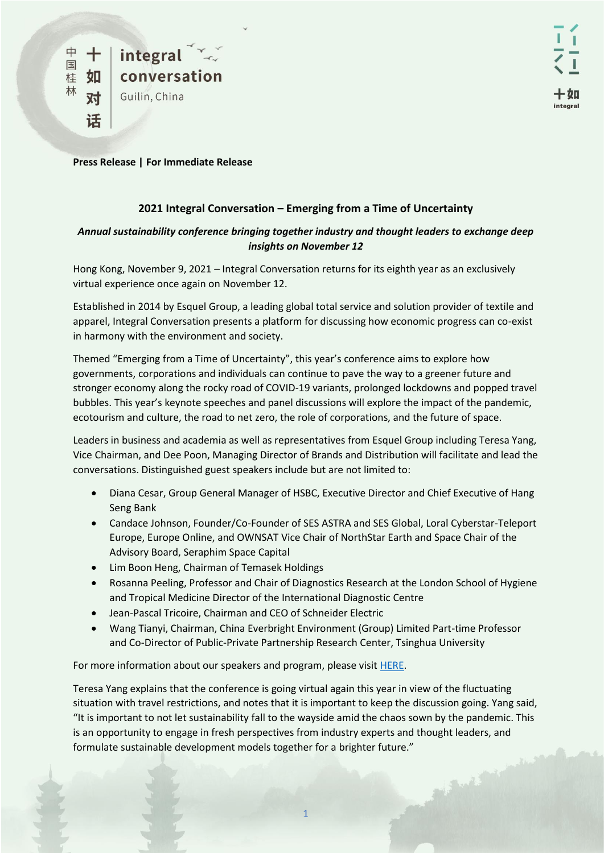**Press Release | For Immediate Release** 

## **2021 Integral Conversation – Emerging from a Time of Uncertainty**

## *Annual sustainability conference bringing together industry and thought leaders to exchange deep insights on November 12*

Hong Kong, November 9, 2021 – Integral Conversation returns for its eighth year as an exclusively virtual experience once again on November 12.

Established in 2014 by Esquel Group, a leading global total service and solution provider of textile and apparel, Integral Conversation presents a platform for discussing how economic progress can co-exist in harmony with the environment and society.

Themed "Emerging from a Time of Uncertainty", this year's conference aims to explore how governments, corporations and individuals can continue to pave the way to a greener future and stronger economy along the rocky road of COVID-19 variants, prolonged lockdowns and popped travel bubbles. This year's keynote speeches and panel discussions will explore the impact of the pandemic, ecotourism and culture, the road to net zero, the role of corporations, and the future of space.

Leaders in business and academia as well as representatives from Esquel Group including Teresa Yang, Vice Chairman, and Dee Poon, Managing Director of Brands and Distribution will facilitate and lead the conversations. Distinguished guest speakers include but are not limited to:

- Diana Cesar, Group General Manager of HSBC, Executive Director and Chief Executive of Hang Seng Bank
- Candace Johnson, Founder/Co-Founder of SES ASTRA and SES Global, Loral Cyberstar-Teleport Europe, Europe Online, and OWNSAT Vice Chair of NorthStar Earth and Space Chair of the Advisory Board, Seraphim Space Capital
- Lim Boon Heng, Chairman of Temasek Holdings
- Rosanna Peeling, Professor and Chair of Diagnostics Research at the London School of Hygiene and Tropical Medicine Director of the International Diagnostic Centre
- Jean-Pascal Tricoire, Chairman and CEO of Schneider Electric
- Wang Tianyi, Chairman, China Everbright Environment (Group) Limited Part-time Professor and Co-Director of Public-Private Partnership Research Center, Tsinghua University

For more information about our speakers and program, please visi[t HERE.](https://www.integral-conversation.com/)

Teresa Yang explains that the conference is going virtual again this year in view of the fluctuating situation with travel restrictions, and notes that it is important to keep the discussion going. Yang said, "It is important to not let sustainability fall to the wayside amid the chaos sown by the pandemic. This is an opportunity to engage in fresh perspectives from industry experts and thought leaders, and formulate sustainable development models together for a brighter future."**CONTRACTOR**